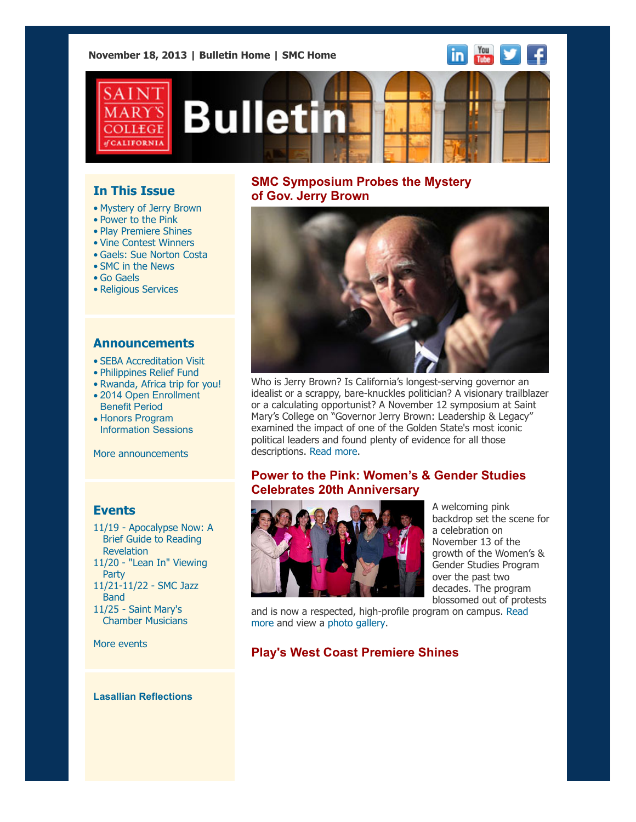**November 18, 2013 | [Bulletin Home](http://www.stmarys-ca.edu/smc-bulletin?utm_source=Bulletin&utm_medium=email&utm_campaign=11-18-2013) | [SMC Home](http://www.stmarys-ca.edu/?utm_source=Bulletin&utm_medium=email&utm_campaign=11-18-2013)**





# **Bulletin**

# **In This Issue**

- [•](file:///Users/smallalieu/Desktop/test.html#09_30_13_studentslearn) Mystery of Jerry Brown
- Power to the Pink
- Play Premiere Shines
- Vine Contest Winners
- Gaels: Sue Norton Costa
- SMC in the News
- Go Gaels
- Religious Services

#### **Announcements**

- [•](file:///Users/smallalieu/Desktop/test.html#09_30_13_studentslearn) [SEBA Accreditation Visit](http://www.stmarys-ca.edu/seba-accreditation-visit-november-18-20?utm_source=Bulletin&utm_medium=email&utm_campaign=11-18-2013)
- [Philippines Relief Fund](http://www.stmarys-ca.edu/philippines-relief-fund?utm_source=Bulletin&utm_medium=email&utm_campaign=11-18-2013)
- [Rwanda, Africa trip for you!](http://www.stmarys-ca.edu/rwanda-africa-trip-for-you-register-by-dec-15th?utm_source=Bulletin&utm_medium=email&utm_campaign=11-18-2013)
- [2014 Open Enrollment](http://www.stmarys-ca.edu/2014-open-enrollment-benefit-period?utm_source=Bulletin&utm_medium=email&utm_campaign=11-18-2013) Benefit Period
- Honors Program [Information Sessions](http://www.stmarys-ca.edu/honors-program-information-sessions?utm_source=Bulletin&utm_medium=email&utm_campaign=11-18-2013)

[More announcements](http://www.stmarys-ca.edu/smc-bulletin/announcements?utm_source=Bulletin&utm_medium=email&utm_campaign=11-18-2013)

## **Events**

[11/19 - Apocalypse Now: A](http://www.stmarys-ca.edu/apocalypse-now-a-brief-guide-to-reading-revelation?utm_source=Bulletin&utm_medium=email&utm_campaign=11-18-2013) Brief Guide to Reading Revelation 11/20 [- "Lean In" Viewing](http://www.stmarys-ca.edu/lean-in-viewing-party?utm_source=Bulletin&utm_medium=email&utm_campaign=11-18-2013) Party [11/21-11/22](http://www.stmarys-ca.edu/smc-jazz-band-1?utm_source=Bulletin&utm_medium=email&utm_campaign=11-18-2013) - SMC Jazz **Band** 11/25 - Saint Mary's  [Chamber Musicians](http://www.stmarys-ca.edu/the-saint-marys-chamber-musicians?utm_source=Bulletin&utm_medium=email&utm_campaign=11-18-2013)

[More events](http://www.stmarys-ca.edu/calendar/63?utm_source=Bulletin&utm_medium=email&utm_campaign=11-18-2013)

#### **Lasallian Reflections**

# **SMC Symposium Probes the Mystery of Gov. Jerry Brown**



Who is Jerry Brown? Is California's longest-serving governor an idealist or a scrappy, bare-knuckles politician? A visionary trailblazer or a calculating opportunist? A November 12 symposium at Saint Mary's College on "Governor Jerry Brown: Leadership & Legacy" examined the impact of one of the Golden State's most iconic political leaders and found plenty of evidence for all those descriptions. [Read more](http://www.stmarys-ca.edu/smc-symposium-probes-the-mystery-of-gov-jerry-brown?utm_source=Bulletin&utm_medium=email&utm_campaign=11-18-2013).

# **Power to the Pink: Women's & Gender Studies Celebrates 20th Anniversary**



A welcoming pink backdrop set the scene for a celebration on November 13 of the growth of the Women's & Gender Studies Program over the past two decades. The program blossomed out of protests

[and is now a respected, high-profile program on campus. Read](http://www.stmarys-ca.edu/power-to-the-pink-women%E2%80%99s-gender-studies-program-celebrates-20th-anniversary?utm_source=Bulletin&utm_medium=email&utm_campaign=11-18-2013) more and view a [photo gallery.](http://www.stmarys-ca.edu/womens-and-gender-studies-20th-anniversary-event?utm_source=Bulletin&utm_medium=email&utm_campaign=11-18-2013)

# **Play's West Coast Premiere Shines**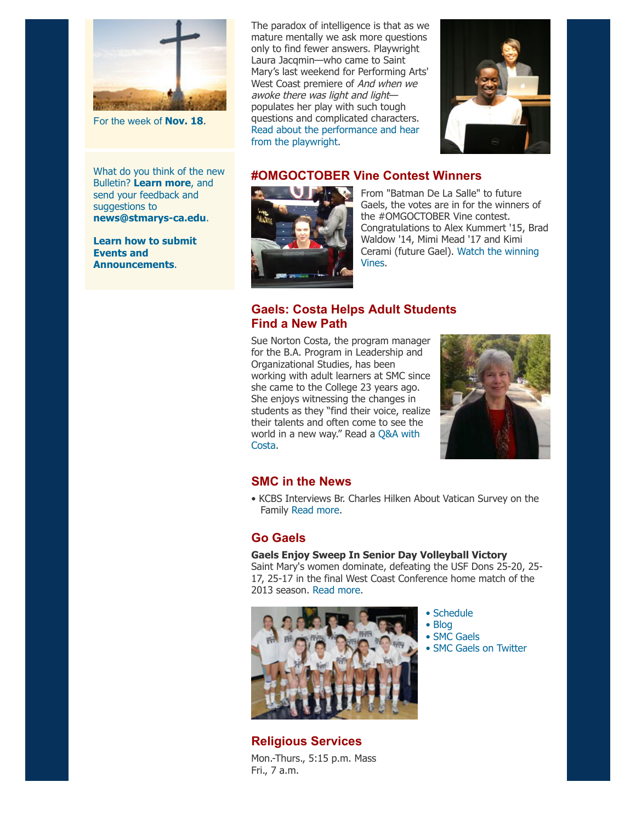

For the week of **[Nov. 18](http://www.stmarys-ca.edu/living-lasallian/lasallian-reflections?utm_source=Bulletin&utm_medium=email&utm_campaign=11-18-2013)**.

What do you think of the new Bulletin? **[Learn more](http://www.stmarys-ca.edu/smcs-new-campus-newsletter-launches?utm_source=Bulletin&utm_medium=email&utm_campaign=10-07-2013)**, and send your feedback and suggestions to **[news@stmarys-ca.edu](mailto:news@stmarys-ca.edu)**.

**[Learn how to submit](http://www.stmarys-ca.edu/smc-bulletin/faqs?utm_source=Bulletin&utm_medium=email&utm_campaign=11-18-2013) Events and Announcements**.

The paradox of intelligence is that as we mature mentally we ask more questions only to find fewer answers. Playwright Laura Jacqmin—who came to Saint Mary's last weekend for Performing Arts' West Coast premiere of And when we awoke there was light and light populates her play with such tough questions and complicated characters. [Read about the performance and hear](http://www.stmarys-ca.edu/let-there-be-light-theater-program-shines-in-west-coast-premiere?utm_source=Bulletin&utm_medium=email&utm_campaign=11-18-2013) from the playwright.



# **#OMGOCTOBER Vine Contest Winners**



From "Batman De La Salle" to future Gaels, the votes are in for the winners of the #OMGOCTOBER Vine contest. Congratulations to Alex Kummert '15, Brad Waldow '14, Mimi Mead '17 and Kimi [Cerami \(future Gael\).](http://www.stmarys-ca.edu/news-and-events/omgoctober?utm_source=Bulletin&utm_medium=email&utm_campaign=11-18-2013) Watch the winning Vines.

# **Gaels: Costa Helps Adult Students Find a New Path**

Sue Norton Costa, the program manager for the B.A. Program in Leadership and Organizational Studies, has been working with adult learners at SMC since she came to the College 23 years ago. She enjoys witnessing the changes in students as they "find their voice, realize their talents and often come to see the [world in a new way." Read a Q&A with](http://www.stmarys-ca.edu/for-faculty-staff/spotlight-on-staff-sue-norton-costa?utm_source=Bulletin&utm_medium=email&utm_campaign=11-18-13) Costa.



### **SMC in the News**

• KCBS Interviews Br. Charles Hilken About Vatican Survey on the Family [Read more.](http://www.stmarys-ca.edu/kcbs-interviews-br-charles-hilken-about-vatican-survey-on-the-family?utm_source=Bulletin&utm_medium=email&utm_campaign=11-18-2013)

## **Go Gaels**

#### **Gaels Enjoy Sweep In Senior Day Volleyball Victory**

Saint Mary's women dominate, defeating the USF Dons 25-20, 25- 17, 25-17 in the final West Coast Conference home match of the 2013 season. [Read more.](http://www.smcgaels.com/ViewArticle.dbml?SPSID=101599&SPID=12532&DB_LANG=C&ATCLID=209311072&DB_OEM_ID=21400)



**Religious Services** Mon.-Thurs., 5:15 p.m. Mass Fri., 7 a.m.

- • [Schedule](http://www.smcgaels.com/main/Schedule.dbml)
- • [Blog](http://smcgaels.wordpress.com/)
- • [SMC Gaels](http://www.smcgaels.com/)
- • [SMC Gaels on Twitter](https://twitter.com/smcgaels)